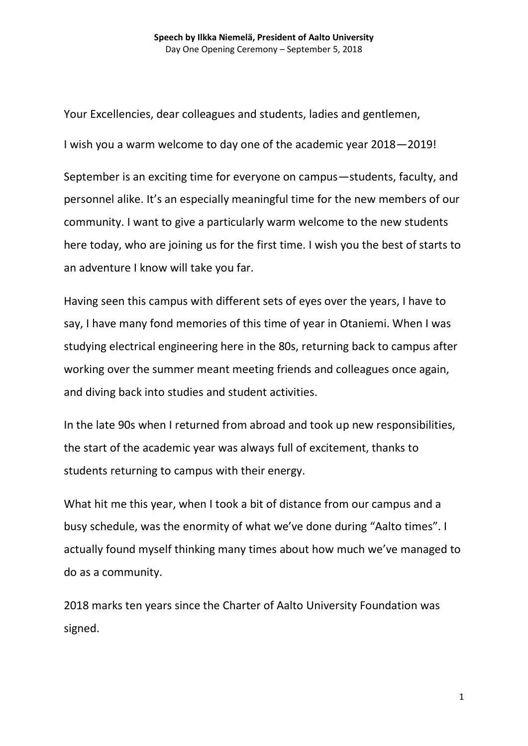Your Excellencies, dear colleagues and students, ladies and gentlemen, I wish you a warm welcome to day one of the academic year 2018—2019!

September is an exciting time for everyone on campus—students, faculty, and personnel alike. It's an especially meaningful time for the new members of our community. I want to give a particularly warm welcome to the new students here today, who are joining us for the first time. I wish you the best of starts to an adventure I know will take you far.

Having seen this campus with different sets of eyes over the years, I have to say, I have many fond memories of this time of year in Otaniemi. When I was studying electrical engineering here in the 80s, returning back to campus after working over the summer meant meeting friends and colleagues once again, and diving back into studies and student activities.

In the late 90s when I returned from abroad and took up new responsibilities, the start of the academic year was always full of excitement, thanks to students returning to campus with their energy.

What hit me this year, when I took a bit of distance from our campus and a busy schedule, was the enormity of what we've done during "Aalto times". I actually found myself thinking many times about how much we've managed to do as a community.

2018 marks ten years since the Charter of Aalto University Foundation was signed.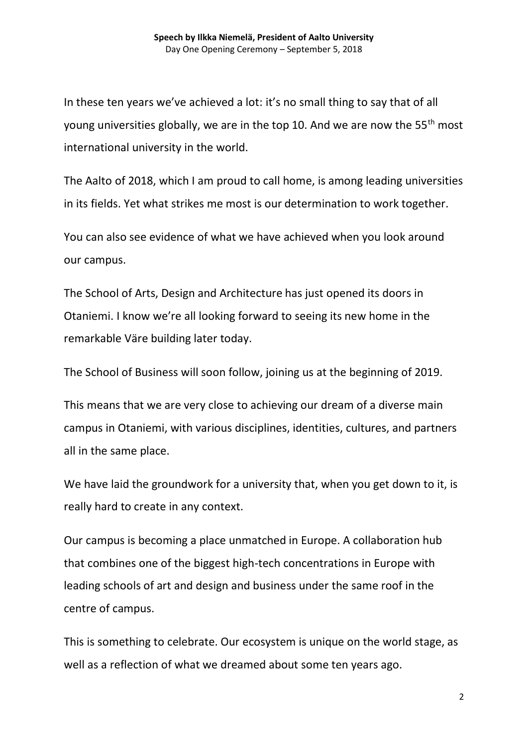In these ten years we've achieved a lot: it's no small thing to say that of all young universities globally, we are in the top 10. And we are now the 55<sup>th</sup> most international university in the world.

The Aalto of 2018, which I am proud to call home, is among leading universities in its fields. Yet what strikes me most is our determination to work together.

You can also see evidence of what we have achieved when you look around our campus.

The School of Arts, Design and Architecture has just opened its doors in Otaniemi. I know we're all looking forward to seeing its new home in the remarkable Väre building later today.

The School of Business will soon follow, joining us at the beginning of 2019.

This means that we are very close to achieving our dream of a diverse main campus in Otaniemi, with various disciplines, identities, cultures, and partners all in the same place.

We have laid the groundwork for a university that, when you get down to it, is really hard to create in any context.

Our campus is becoming a place unmatched in Europe. A collaboration hub that combines one of the biggest high-tech concentrations in Europe with leading schools of art and design and business under the same roof in the centre of campus.

This is something to celebrate. Our ecosystem is unique on the world stage, as well as a reflection of what we dreamed about some ten years ago.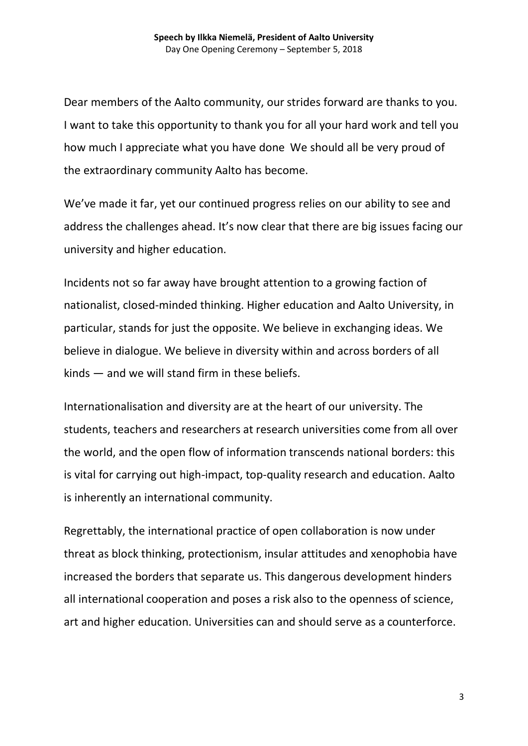Dear members of the Aalto community, our strides forward are thanks to you. I want to take this opportunity to thank you for all your hard work and tell you how much I appreciate what you have done We should all be very proud of the extraordinary community Aalto has become.

We've made it far, yet our continued progress relies on our ability to see and address the challenges ahead. It's now clear that there are big issues facing our university and higher education.

Incidents not so far away have brought attention to a growing faction of nationalist, closed-minded thinking. Higher education and Aalto University, in particular, stands for just the opposite. We believe in exchanging ideas. We believe in dialogue. We believe in diversity within and across borders of all kinds — and we will stand firm in these beliefs.

Internationalisation and diversity are at the heart of our university. The students, teachers and researchers at research universities come from all over the world, and the open flow of information transcends national borders: this is vital for carrying out high-impact, top-quality research and education. Aalto is inherently an international community.

Regrettably, the international practice of open collaboration is now under threat as block thinking, protectionism, insular attitudes and xenophobia have increased the borders that separate us. This dangerous development hinders all international cooperation and poses a risk also to the openness of science, art and higher education. Universities can and should serve as a counterforce.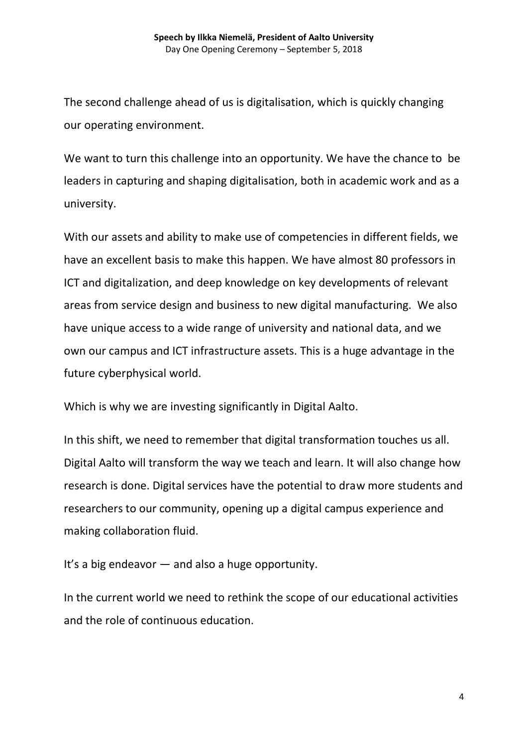The second challenge ahead of us is digitalisation, which is quickly changing our operating environment.

We want to turn this challenge into an opportunity. We have the chance to be leaders in capturing and shaping digitalisation, both in academic work and as a university.

With our assets and ability to make use of competencies in different fields, we have an excellent basis to make this happen. We have almost 80 professors in ICT and digitalization, and deep knowledge on key developments of relevant areas from service design and business to new digital manufacturing. We also have unique access to a wide range of university and national data, and we own our campus and ICT infrastructure assets. This is a huge advantage in the future cyberphysical world.

Which is why we are investing significantly in Digital Aalto.

In this shift, we need to remember that digital transformation touches us all. Digital Aalto will transform the way we teach and learn. It will also change how research is done. Digital services have the potential to draw more students and researchers to our community, opening up a digital campus experience and making collaboration fluid.

It's a big endeavor — and also a huge opportunity.

In the current world we need to rethink the scope of our educational activities and the role of continuous education.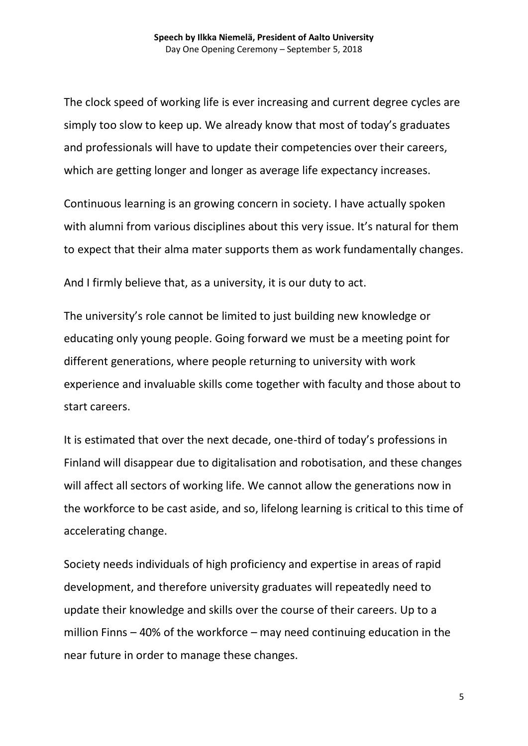The clock speed of working life is ever increasing and current degree cycles are simply too slow to keep up. We already know that most of today's graduates and professionals will have to update their competencies over their careers, which are getting longer and longer as average life expectancy increases.

Continuous learning is an growing concern in society. I have actually spoken with alumni from various disciplines about this very issue. It's natural for them to expect that their alma mater supports them as work fundamentally changes.

And I firmly believe that, as a university, it is our duty to act.

The university's role cannot be limited to just building new knowledge or educating only young people. Going forward we must be a meeting point for different generations, where people returning to university with work experience and invaluable skills come together with faculty and those about to start careers.

It is estimated that over the next decade, one-third of today's professions in Finland will disappear due to digitalisation and robotisation, and these changes will affect all sectors of working life. We cannot allow the generations now in the workforce to be cast aside, and so, lifelong learning is critical to this time of accelerating change.

Society needs individuals of high proficiency and expertise in areas of rapid development, and therefore university graduates will repeatedly need to update their knowledge and skills over the course of their careers. Up to a million Finns – 40% of the workforce – may need continuing education in the near future in order to manage these changes.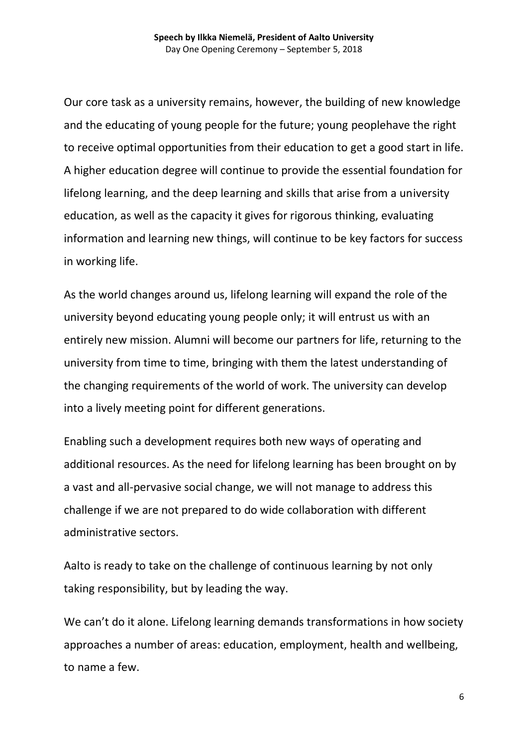Our core task as a university remains, however, the building of new knowledge and the educating of young people for the future; young peoplehave the right to receive optimal opportunities from their education to get a good start in life. A higher education degree will continue to provide the essential foundation for lifelong learning, and the deep learning and skills that arise from a university education, as well as the capacity it gives for rigorous thinking, evaluating information and learning new things, will continue to be key factors for success in working life.

As the world changes around us, lifelong learning will expand the role of the university beyond educating young people only; it will entrust us with an entirely new mission. Alumni will become our partners for life, returning to the university from time to time, bringing with them the latest understanding of the changing requirements of the world of work. The university can develop into a lively meeting point for different generations.

Enabling such a development requires both new ways of operating and additional resources. As the need for lifelong learning has been brought on by a vast and all-pervasive social change, we will not manage to address this challenge if we are not prepared to do wide collaboration with different administrative sectors.

Aalto is ready to take on the challenge of continuous learning by not only taking responsibility, but by leading the way.

We can't do it alone. Lifelong learning demands transformations in how society approaches a number of areas: education, employment, health and wellbeing, to name a few.

6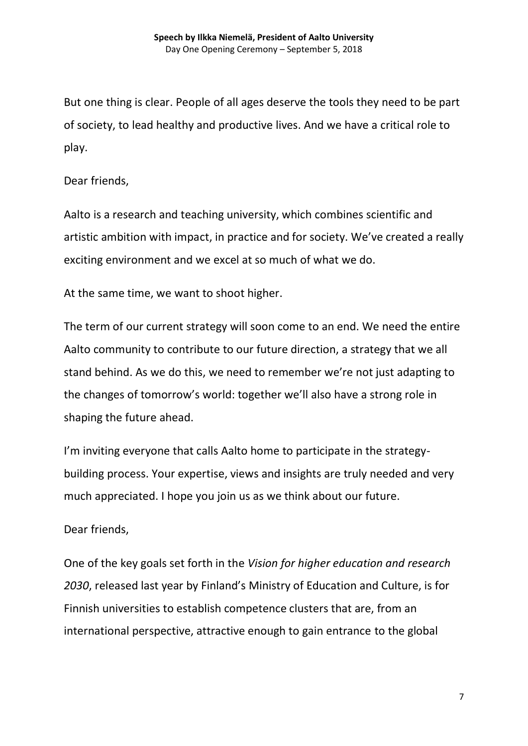But one thing is clear. People of all ages deserve the tools they need to be part of society, to lead healthy and productive lives. And we have a critical role to play.

## Dear friends,

Aalto is a research and teaching university, which combines scientific and artistic ambition with impact, in practice and for society. We've created a really exciting environment and we excel at so much of what we do.

At the same time, we want to shoot higher.

The term of our current strategy will soon come to an end. We need the entire Aalto community to contribute to our future direction, a strategy that we all stand behind. As we do this, we need to remember we're not just adapting to the changes of tomorrow's world: together we'll also have a strong role in shaping the future ahead.

I'm inviting everyone that calls Aalto home to participate in the strategybuilding process. Your expertise, views and insights are truly needed and very much appreciated. I hope you join us as we think about our future.

## Dear friends,

One of the key goals set forth in the *Vision for higher education and research 2030*, released last year by Finland's Ministry of Education and Culture, is for Finnish universities to establish competence clusters that are, from an international perspective, attractive enough to gain entrance to the global

7